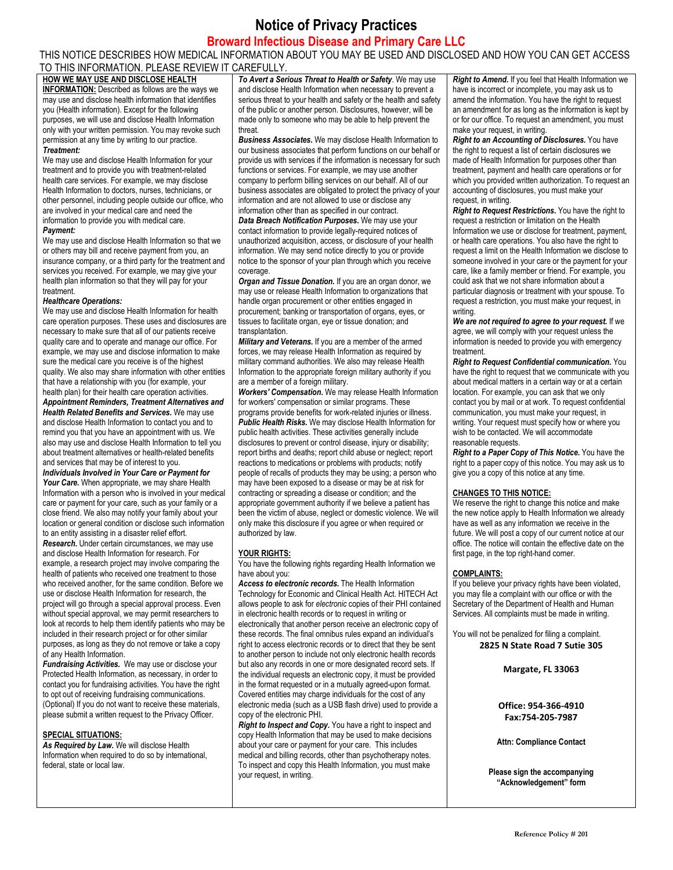# **Notice of Privacy Practices**

# **Broward Infectious Disease and Primary Care LLC**

THIS NOTICE DESCRIBES HOW MEDICAL INFORMATION ABOUT YOU MAY BE USED AND DISCLOSED AND HOW YOU CAN GET ACCESS TO THIS INFORMATION. PLEASE REVIEW IT CAREFULLY.

**HOW WE MAY USE AND DISCLOSE HEALTH INFORMATION:** Described as follows are the ways we may use and disclose health information that identifies you (Health information). Except for the following purposes, we will use and disclose Health Information only with your written permission. You may revoke such permission at any time by writing to our practice. *Treatment:*

### We may use and disclose Health Information for your treatment and to provide you with treatment-related health care services. For example, we may disclose Health Information to doctors, nurses, technicians, or other personnel, including people outside our office, who are involved in your medical care and need the information to provide you with medical care.

### *Payment:*

We may use and disclose Health Information so that we or others may bill and receive payment from you, an insurance company, or a third party for the treatment and services you received. For example, we may give your health plan information so that they will pay for your treatment.

## *Healthcare Operations:*

We may use and disclose Health Information for health care operation purposes. These uses and disclosures are necessary to make sure that all of our patients receive quality care and to operate and manage our office. For example, we may use and disclose information to make sure the medical care you receive is of the highest quality. We also may share information with other entities that have a relationship with you (for example, your health plan) for their health care operation activities.

*Appointment Reminders, Treatment Alternatives and Health Related Benefits and Services.* We may use and disclose Health Information to contact you and to remind you that you have an appointment with us. We also may use and disclose Health Information to tell you about treatment alternatives or health-related benefits and services that may be of interest to you.

*Individuals Involved in Your Care or Payment for*  Your Care. When appropriate, we may share Health Information with a person who is involved in your medical care or payment for your care, such as your family or a close friend. We also may notify your family about your location or general condition or disclose such information to an entity assisting in a disaster relief effort. *Research.* Under certain circumstances, we may use and disclose Health Information for research. For example, a research project may involve comparing the health of patients who received one treatment to those who received another, for the same condition. Before we use or disclose Health Information for research, the project will go through a special approval process. Even without special approval, we may permit researchers to look at records to help them identify patients who may be included in their research project or for other similar purposes, as long as they do not remove or take a copy of any Health Information.

*Fundraising Activities.*We may use or disclose your Protected Health Information, as necessary, in order to contact you for fundraising activities. You have the right to opt out of receiving fundraising communications. (Optional) If you do not want to receive these materials, please submit a written request to the Privacy Officer.

### **SPECIAL SITUATIONS:**

*As Required by Law***.** We will disclose Health Information when required to do so by international, federal, state or local law.

*To Avert a Serious Threat to Health or Safety*. We may use and disclose Health Information when necessary to prevent a serious threat to your health and safety or the health and safety of the public or another person. Disclosures, however, will be made only to someone who may be able to help prevent the threat.

*Business Associates***.** We may disclose Health Information to our business associates that perform functions on our behalf or provide us with services if the information is necessary for such functions or services. For example, we may use another company to perform billing services on our behalf. All of our business associates are obligated to protect the privacy of your information and are not allowed to use or disclose any information other than as specified in our contract.

*Data Breach Notification Purposes***.** We may use your contact information to provide legally-required notices of unauthorized acquisition, access, or disclosure of your health information. We may send notice directly to you or provide notice to the sponsor of your plan through which you receive coverage.

*Organ and Tissue Donation.* If you are an organ donor, we may use or release Health Information to organizations that handle organ procurement or other entities engaged in procurement; banking or transportation of organs, eyes, or tissues to facilitate organ, eye or tissue donation; and transplantation.

*Military and Veterans.* If you are a member of the armed forces, we may release Health Information as required by military command authorities. We also may release Health Information to the appropriate foreign military authority if you are a member of a foreign military.

*Workers' Compensation.* We may release Health Information for workers' compensation or similar programs. These programs provide benefits for work-related injuries or illness. *Public Health Risks.* We may disclose Health Information for public health activities. These activities generally include disclosures to prevent or control disease, injury or disability; report births and deaths; report child abuse or neglect; report reactions to medications or problems with products; notify people of recalls of products they may be using; a person who may have been exposed to a disease or may be at risk for contracting or spreading a disease or condition; and the appropriate government authority if we believe a patient has been the victim of abuse, neglect or domestic violence. We will only make this disclosure if you agree or when required or authorized by law.

## **YOUR RIGHTS:**

You have the following rights regarding Health Information we have about you:

*Access to electronic records.* The Health Information Technology for Economic and Clinical Health Act. HITECH Act allows people to ask for *electronic* copies of their PHI contained in electronic health records or to request in writing or electronically that another person receive an electronic copy of these records. The final omnibus rules expand an individual's right to access electronic records or to direct that they be sent to another person to include not only electronic health records but also any records in one or more designated record sets. If the individual requests an electronic copy, it must be provided in the format requested or in a mutually agreed-upon format. Covered entities may charge individuals for the cost of any electronic media (such as a USB flash drive) used to provide a copy of the electronic PHI.

*Right to Inspect and Copy.* You have a right to inspect and copy Health Information that may be used to make decisions about your care or payment for your care. This includes medical and billing records, other than psychotherapy notes. To inspect and copy this Health Information, you must make your request, in writing.

*Right to Amend.* If you feel that Health Information we have is incorrect or incomplete, you may ask us to amend the information. You have the right to request an amendment for as long as the information is kept by or for our office. To request an amendment, you must make your request, in writing.

*Right to an Accounting of Disclosures.* You have the right to request a list of certain disclosures we made of Health Information for purposes other than treatment, payment and health care operations or for which you provided written authorization. To request an accounting of disclosures, you must make your request, in writing.

*Right to Request Restrictions.* You have the right to request a restriction or limitation on the Health Information we use or disclose for treatment, payment, or health care operations. You also have the right to request a limit on the Health Information we disclose to someone involved in your care or the payment for your care, like a family member or friend. For example, you could ask that we not share information about a particular diagnosis or treatment with your spouse. To request a restriction, you must make your request, in writing.

*We are not required to agree to your request.* If we agree, we will comply with your request unless the information is needed to provide you with emergency treatment.

*Right to Request Confidential communication.* You have the right to request that we communicate with you about medical matters in a certain way or at a certain location. For example, you can ask that we only contact you by mail or at work. To request confidential communication, you must make your request, in writing. Your request must specify how or where you wish to be contacted. We will accommodate reasonable requests.

*Right to a Paper Copy of This Notice.* You have the right to a paper copy of this notice. You may ask us to give you a copy of this notice at any time.

### **CHANGES TO THIS NOTICE:**

We reserve the right to change this notice and make the new notice apply to Health Information we already have as well as any information we receive in the future. We will post a copy of our current notice at our office. The notice will contain the effective date on the first page, in the top right-hand corner.

# **COMPLAINTS:**

If you believe your privacy rights have been violated, you may file a complaint with our office or with the Secretary of the Department of Health and Human Services. All complaints must be made in writing.

You will not be penalized for filing a complaint. **2825 N State Road 7 Sutie 305**

**Margate, FL 33063**

**Office: 954-366-4910 Fax:754-205-7987**

**Attn: Compliance Contact**

**Please sign the accompanying "Acknowledgement" form**